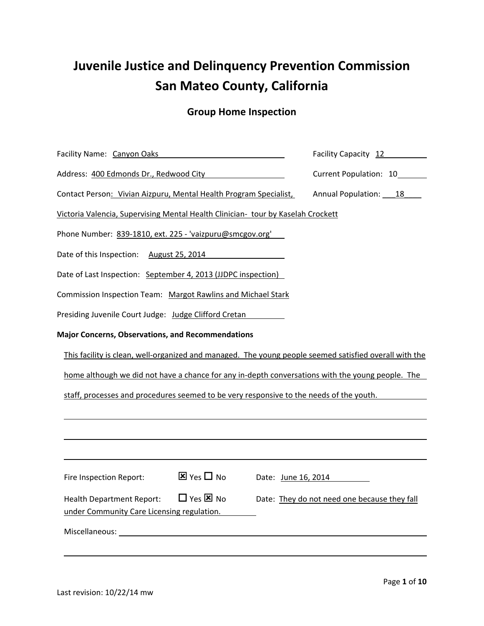# **Juvenile Justice and Delinquency Prevention Commission San Mateo County, California**

# **Group Home Inspection**

| Facility Name: Canyon Oaks                                                                                  | Facility Capacity 12                         |  |  |  |
|-------------------------------------------------------------------------------------------------------------|----------------------------------------------|--|--|--|
| Address: 400 Edmonds Dr., Redwood City                                                                      | Current Population: 10                       |  |  |  |
| Contact Person: Vivian Aizpuru, Mental Health Program Specialist,                                           | Annual Population: 18                        |  |  |  |
| Victoria Valencia, Supervising Mental Health Clinician- tour by Kaselah Crockett                            |                                              |  |  |  |
| Phone Number: 839-1810, ext. 225 - 'vaizpuru@smcgov.org'                                                    |                                              |  |  |  |
| Date of this Inspection: August 25, 2014                                                                    |                                              |  |  |  |
| Date of Last Inspection: September 4, 2013 (JJDPC inspection)                                               |                                              |  |  |  |
| Commission Inspection Team: Margot Rawlins and Michael Stark                                                |                                              |  |  |  |
| Presiding Juvenile Court Judge: Judge Clifford Cretan                                                       |                                              |  |  |  |
| <b>Major Concerns, Observations, and Recommendations</b>                                                    |                                              |  |  |  |
| This facility is clean, well-organized and managed. The young people seemed satisfied overall with the      |                                              |  |  |  |
| home although we did not have a chance for any in-depth conversations with the young people. The            |                                              |  |  |  |
| staff, processes and procedures seemed to be very responsive to the needs of the youth.                     |                                              |  |  |  |
|                                                                                                             |                                              |  |  |  |
|                                                                                                             |                                              |  |  |  |
|                                                                                                             |                                              |  |  |  |
| $\Sigma$ Yes $\square$ No<br>Fire Inspection Report:                                                        | Date: June 16, 2014                          |  |  |  |
| $\Box$ Yes $\boxtimes$ No<br><b>Health Department Report:</b><br>under Community Care Licensing regulation. | Date: They do not need one because they fall |  |  |  |
|                                                                                                             |                                              |  |  |  |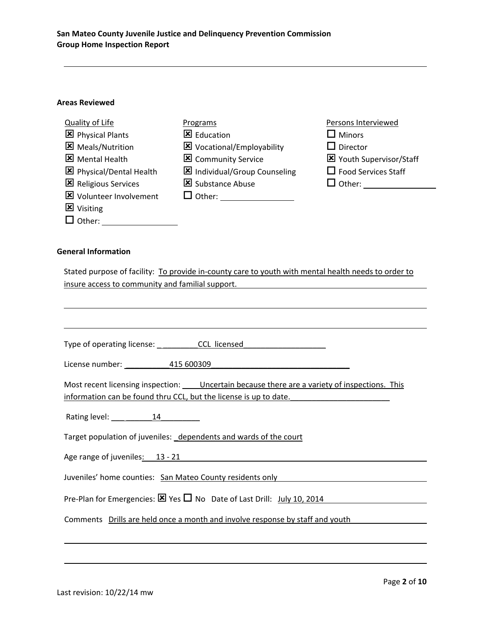#### **Areas Reviewed**

| Quality of Life                | Programs                    | Persons Interviewed        |
|--------------------------------|-----------------------------|----------------------------|
| <b>図</b> Physical Plants       | Education                   | $\square$ Minors           |
| <b>X</b> Meals/Nutrition       | X Vocational/Employability  | $\Box$ Director            |
| <b>X</b> Mental Health         | <b>X</b> Community Service  | Youth Supervisor/Staff     |
| 区 Physical/Dental Health       | Individual/Group Counseling | $\Box$ Food Services Staff |
| Religious Services             | Substance Abuse             |                            |
| <b>X</b> Volunteer Involvement | $\Box$ Other:               |                            |
| <b>X</b> Visiting              |                             |                            |
| $\Box$ Other:                  |                             |                            |

#### **General Information**

Stated purpose of facility: To provide in-county care to youth with mental health needs to order to insure access to community and familial support.

| License number: 115 600309                                                                                                                                              |
|-------------------------------------------------------------------------------------------------------------------------------------------------------------------------|
| Most recent licensing inspection: _____ Uncertain because there are a variety of inspections. This<br>information can be found thru CCL, but the license is up to date. |
| Rating level: 14                                                                                                                                                        |
| Target population of juveniles: dependents and wards of the court                                                                                                       |
| Age range of juveniles: 13 - 21                                                                                                                                         |
| Juveniles' home counties: San Mateo County residents only                                                                                                               |
| Pre-Plan for Emergencies: $\boxtimes$ Yes $\Box$ No Date of Last Drill: $July 10, 2014$                                                                                 |
| Comments Drills are held once a month and involve response by staff and youth                                                                                           |
|                                                                                                                                                                         |
|                                                                                                                                                                         |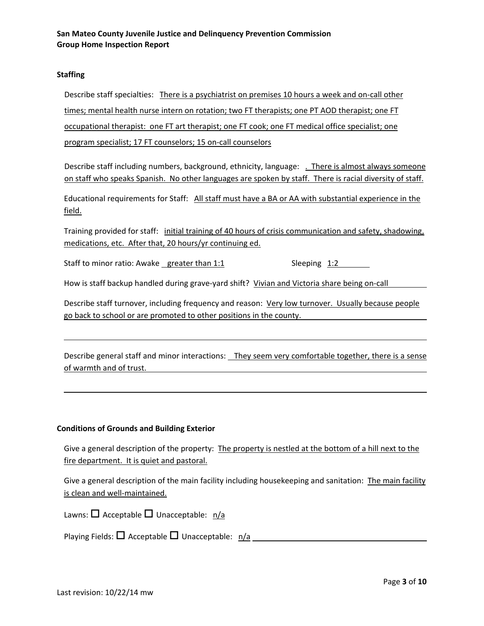#### **Staffing**

Describe staff specialties: There is a psychiatrist on premises 10 hours a week and on‐call other times; mental health nurse intern on rotation; two FT therapists; one PT AOD therapist; one FT occupational therapist: one FT art therapist; one FT cook; one FT medical office specialist; one program specialist; 17 FT counselors; 15 on-call counselors

Describe staff including numbers, background, ethnicity, language: . There is almost always someone on staff who speaks Spanish. No other languages are spoken by staff. There is racial diversity of staff.

Educational requirements for Staff: All staff must have a BA or AA with substantial experience in the field.

Training provided for staff: initial training of 40 hours of crisis communication and safety, shadowing, medications, etc. After that, 20 hours/yr continuing ed.

Staff to minor ratio: Awake greater than 1:1 Sleeping 1:2

How is staff backup handled during grave-yard shift? Vivian and Victoria share being on-call

Describe staff turnover, including frequency and reason: Very low turnover. Usually because people go back to school or are promoted to other positions in the county.

Describe general staff and minor interactions: They seem very comfortable together, there is a sense of warmth and of trust.

#### **Conditions of Grounds and Building Exterior**

Give a general description of the property: The property is nestled at the bottom of a hill next to the fire department. It is quiet and pastoral.

Give a general description of the main facility including housekeeping and sanitation: The main facility is clean and well‐maintained.

Lawns:  $\Box$  Acceptable  $\Box$  Unacceptable:  $n/a$ 

Playing Fields: Acceptable Unacceptable: n/a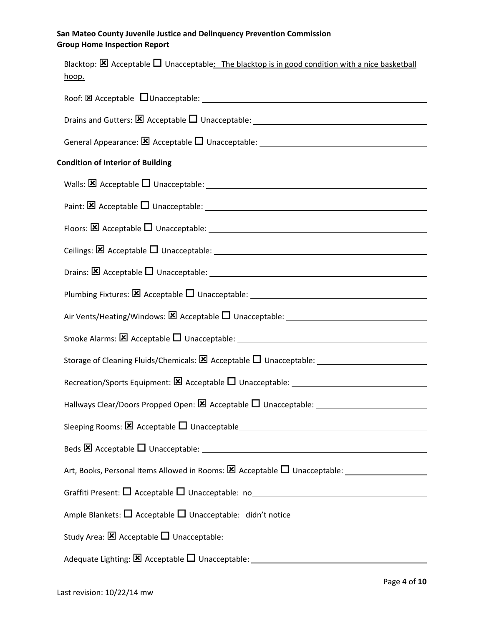| Blacktop: $\boxtimes$ Acceptable $\Box$ Unacceptable: The blacktop is in good condition with a nice basketball<br>hoop. |
|-------------------------------------------------------------------------------------------------------------------------|
|                                                                                                                         |
|                                                                                                                         |
|                                                                                                                         |
| <b>Condition of Interior of Building</b>                                                                                |
|                                                                                                                         |
|                                                                                                                         |
| Floors: $\boxtimes$ Acceptable $\Box$ Unacceptable: $\Box$                                                              |
|                                                                                                                         |
|                                                                                                                         |
|                                                                                                                         |
|                                                                                                                         |
|                                                                                                                         |
|                                                                                                                         |
|                                                                                                                         |
|                                                                                                                         |
|                                                                                                                         |
|                                                                                                                         |
|                                                                                                                         |
|                                                                                                                         |
|                                                                                                                         |
|                                                                                                                         |
| Adequate Lighting: $\boxtimes$ Acceptable $\square$ Unacceptable: $\_\_\_\_\_\_\_\_\_\_\_\_$                            |
|                                                                                                                         |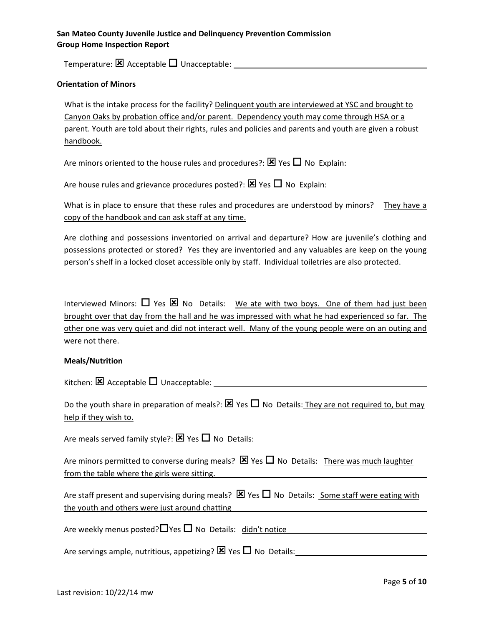Temperature: Acceptable Unacceptable:

#### **Orientation of Minors**

What is the intake process for the facility? Delinquent youth are interviewed at YSC and brought to Canyon Oaks by probation office and/or parent. Dependency youth may come through HSA or a parent. Youth are told about their rights, rules and policies and parents and youth are given a robust handbook.

Are minors oriented to the house rules and procedures?:  $\boxtimes$  Yes  $\Box$  No Explain:

Are house rules and grievance procedures posted?:  $\boxtimes$  Yes  $\Box$  No Explain:

What is in place to ensure that these rules and procedures are understood by minors? They have a copy of the handbook and can ask staff at any time.

Are clothing and possessions inventoried on arrival and departure? How are juvenile's clothing and possessions protected or stored? Yes they are inventoried and any valuables are keep on the young person's shelf in a locked closet accessible only by staff. Individual toiletries are also protected.

Interviewed Minors:  $\Box$  Yes  $\boxtimes$  No Details: We ate with two boys. One of them had just been brought over that day from the hall and he was impressed with what he had experienced so far. The other one was very quiet and did not interact well. Many of the young people were on an outing and were not there.

#### **Meals/Nutrition**

Kitchen:  $\boxtimes$  Acceptable  $\Box$  Unacceptable:

Do the youth share in preparation of meals?:  $\boxtimes$  Yes  $\Box$  No Details: They are not required to, but may help if they wish to.

Are meals served family style?:  $\boxtimes$  Yes  $\Box$  No Details:

Are minors permitted to converse during meals?  $\boxtimes$  Yes  $\Box$  No Details: There was much laughter from the table where the girls were sitting.

Are staff present and supervising during meals?  $\boxtimes$  Yes  $\Box$  No Details: Some staff were eating with the youth and others were just around chatting

Are weekly menus posted?  $\Box$  Yes  $\Box$  No Details: didn't notice

Are servings ample, nutritious, appetizing?  $\boxtimes$  Yes  $\Box$  No Details: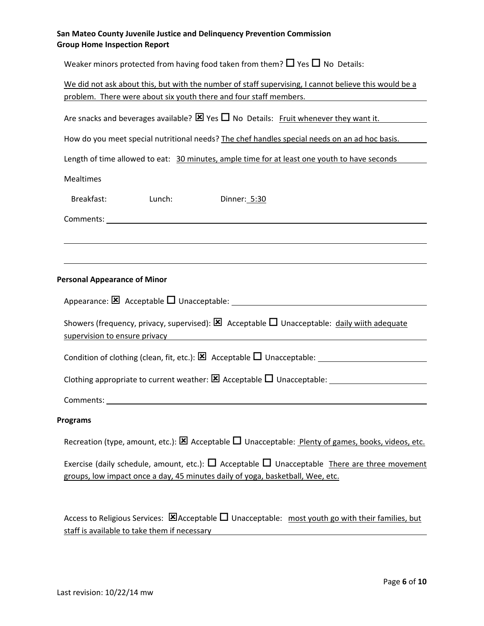Weaker minors protected from having food taken from them?  $\Box$  Yes  $\Box$  No Details:

|                                                                                                        | We did not ask about this, but with the number of staff supervising, I cannot believe this would be a<br>problem. There were about six youth there and four staff members. |                                                                                                                                                                                           |  |  |
|--------------------------------------------------------------------------------------------------------|----------------------------------------------------------------------------------------------------------------------------------------------------------------------------|-------------------------------------------------------------------------------------------------------------------------------------------------------------------------------------------|--|--|
| Are snacks and beverages available? $\boxtimes$ Yes $\square$ No Details: Fruit whenever they want it. |                                                                                                                                                                            |                                                                                                                                                                                           |  |  |
| How do you meet special nutritional needs? The chef handles special needs on an ad hoc basis.          |                                                                                                                                                                            |                                                                                                                                                                                           |  |  |
|                                                                                                        | Length of time allowed to eat: 30 minutes, ample time for at least one youth to have seconds                                                                               |                                                                                                                                                                                           |  |  |
| <b>Mealtimes</b>                                                                                       |                                                                                                                                                                            |                                                                                                                                                                                           |  |  |
| Breakfast:                                                                                             | Lunch:                                                                                                                                                                     | Dinner: 5:30                                                                                                                                                                              |  |  |
|                                                                                                        |                                                                                                                                                                            |                                                                                                                                                                                           |  |  |
|                                                                                                        |                                                                                                                                                                            |                                                                                                                                                                                           |  |  |
|                                                                                                        |                                                                                                                                                                            |                                                                                                                                                                                           |  |  |
| <b>Personal Appearance of Minor</b>                                                                    |                                                                                                                                                                            |                                                                                                                                                                                           |  |  |
|                                                                                                        |                                                                                                                                                                            |                                                                                                                                                                                           |  |  |
|                                                                                                        |                                                                                                                                                                            | Showers (frequency, privacy, supervised): $\boxtimes$ Acceptable $\square$ Unacceptable: daily wiith adequate<br>supervision to ensure privacy entertainment of the supervision to ensure |  |  |
|                                                                                                        |                                                                                                                                                                            |                                                                                                                                                                                           |  |  |
|                                                                                                        |                                                                                                                                                                            |                                                                                                                                                                                           |  |  |
|                                                                                                        |                                                                                                                                                                            |                                                                                                                                                                                           |  |  |
| <b>Programs</b>                                                                                        |                                                                                                                                                                            |                                                                                                                                                                                           |  |  |
|                                                                                                        |                                                                                                                                                                            | Recreation (type, amount, etc.): $\boxtimes$ Acceptable $\square$ Unacceptable: Plenty of games, books, videos, etc.                                                                      |  |  |
|                                                                                                        |                                                                                                                                                                            | Exercise (daily schedule, amount, etc.): $\Box$ Acceptable $\Box$ Unacceptable There are three movement<br>groups, low impact once a day, 45 minutes daily of yoga, basketball, Wee, etc. |  |  |
|                                                                                                        | staff is available to take them if necessary                                                                                                                               | Access to Religious Services: $\boxtimes$ Acceptable $\square$ Unacceptable: most youth go with their families, but                                                                       |  |  |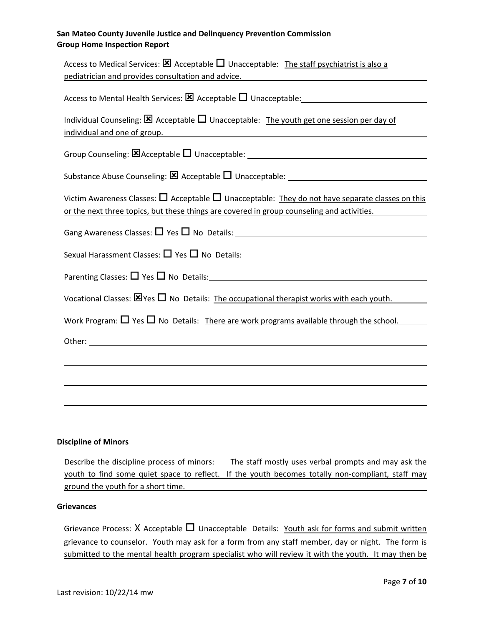| Access to Medical Services: $\boxtimes$ Acceptable $\Box$ Unacceptable: The staff psychiatrist is also a                                                                                                                                                           |
|--------------------------------------------------------------------------------------------------------------------------------------------------------------------------------------------------------------------------------------------------------------------|
| pediatrician and provides consultation and advice.                                                                                                                                                                                                                 |
|                                                                                                                                                                                                                                                                    |
| Individual Counseling: $\boxtimes$ Acceptable $\square$ Unacceptable: The youth get one session per day of<br>individual and one of group.<br><u> 1980 - Jan Samuel Barbara, margaret e populazion del control de la provincia del control de la provincia del</u> |
| Group Counseling: EX Acceptable D Unacceptable: ________________________________                                                                                                                                                                                   |
|                                                                                                                                                                                                                                                                    |
| Victim Awareness Classes: $\Box$ Acceptable $\Box$ Unacceptable: They do not have separate classes on this<br>or the next three topics, but these things are covered in group counseling and activities.                                                           |
|                                                                                                                                                                                                                                                                    |
|                                                                                                                                                                                                                                                                    |
|                                                                                                                                                                                                                                                                    |
| Vocational Classes: $\boxtimes$ Yes $\Box$ No Details: The occupational therapist works with each youth.                                                                                                                                                           |
| Work Program: $\Box$ Yes $\Box$ No Details: There are work programs available through the school.                                                                                                                                                                  |
|                                                                                                                                                                                                                                                                    |
|                                                                                                                                                                                                                                                                    |
|                                                                                                                                                                                                                                                                    |
|                                                                                                                                                                                                                                                                    |

#### **Discipline of Minors**

Describe the discipline process of minors: \_\_ The staff mostly uses verbal prompts and may ask the youth to find some quiet space to reflect. If the youth becomes totally non-compliant, staff may ground the youth for a short time.

#### **Grievances**

Grievance Process:  $X$  Acceptable  $\square$  Unacceptable Details: Youth ask for forms and submit written grievance to counselor. Youth may ask for a form from any staff member, day or night. The form is submitted to the mental health program specialist who will review it with the youth. It may then be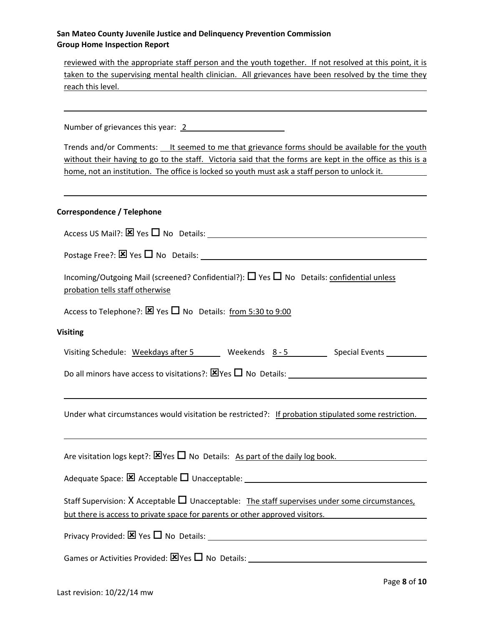reviewed with the appropriate staff person and the youth together. If not resolved at this point, it is taken to the supervising mental health clinician. All grievances have been resolved by the time they reach this level.

Number of grievances this year: 2

Trends and/or Comments: It seemed to me that grievance forms should be available for the youth without their having to go to the staff. Victoria said that the forms are kept in the office as this is a home, not an institution. The office is locked so youth must ask a staff person to unlock it.

#### **Correspondence / Telephone**

| Incoming/Outgoing Mail (screened? Confidential?): $\Box$ Yes $\Box$ No Details: confidential unless<br>probation tells staff otherwise                                               |  |  |  |
|--------------------------------------------------------------------------------------------------------------------------------------------------------------------------------------|--|--|--|
| Access to Telephone?: $\boxtimes$ Yes $\Box$ No Details: from 5:30 to 9:00                                                                                                           |  |  |  |
| <b>Visiting</b>                                                                                                                                                                      |  |  |  |
| Visiting Schedule: Weekdays after 5 Weekends 8-5 Special Events                                                                                                                      |  |  |  |
|                                                                                                                                                                                      |  |  |  |
|                                                                                                                                                                                      |  |  |  |
| Under what circumstances would visitation be restricted?: If probation stipulated some restriction.                                                                                  |  |  |  |
| ,我们也不会有什么。""我们的人,我们也不会有什么?""我们的人,我们也不会有什么?""我们的人,我们也不会有什么?""我们的人,我们也不会有什么?""我们的人                                                                                                     |  |  |  |
| Are visitation logs kept?: $\boxtimes$ Yes $\Box$ No Details: As part of the daily log book.                                                                                         |  |  |  |
|                                                                                                                                                                                      |  |  |  |
| Staff Supervision: $X$ Acceptable $\Pi$ Unacceptable: The staff supervises under some circumstances,<br>but there is access to private space for parents or other approved visitors. |  |  |  |
|                                                                                                                                                                                      |  |  |  |
|                                                                                                                                                                                      |  |  |  |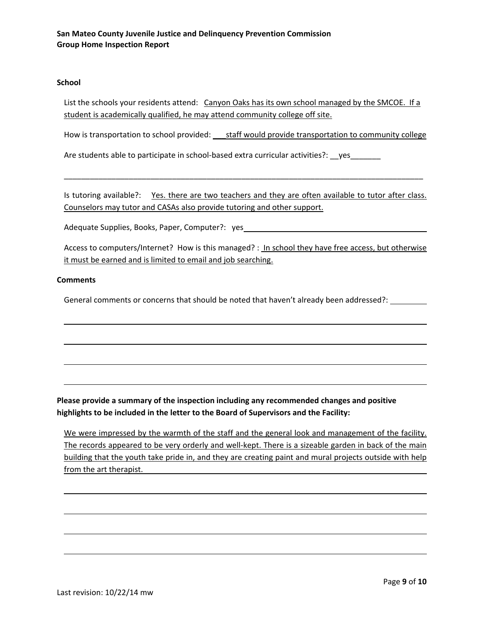#### **School**

List the schools your residents attend: Canyon Oaks has its own school managed by the SMCOE. If a student is academically qualified, he may attend community college off site.

How is transportation to school provided: \_\_\_\_ staff would provide transportation to community college

Are students able to participate in school-based extra curricular activities?: \_\_yes\_\_\_\_\_\_\_\_\_

Is tutoring available?: Yes. there are two teachers and they are often available to tutor after class. Counselors may tutor and CASAs also provide tutoring and other support.

\_\_\_\_\_\_\_\_\_\_\_\_\_\_\_\_\_\_\_\_\_\_\_\_\_\_\_\_\_\_\_\_\_\_\_\_\_\_\_\_\_\_\_\_\_\_\_\_\_\_\_\_\_\_\_\_\_\_\_\_\_\_\_\_\_\_\_\_\_\_\_\_\_\_\_\_\_\_\_\_\_\_\_

Adequate Supplies, Books, Paper, Computer?: yes

Access to computers/Internet? How is this managed? : In school they have free access, but otherwise it must be earned and is limited to email and job searching.

#### **Comments**

General comments or concerns that should be noted that haven't already been addressed?:

**Please provide a summary of the inspection including any recommended changes and positive highlights to be included in the letter to the Board of Supervisors and the Facility:**

We were impressed by the warmth of the staff and the general look and management of the facility. The records appeared to be very orderly and well-kept. There is a sizeable garden in back of the main building that the youth take pride in, and they are creating paint and mural projects outside with help from the art therapist.